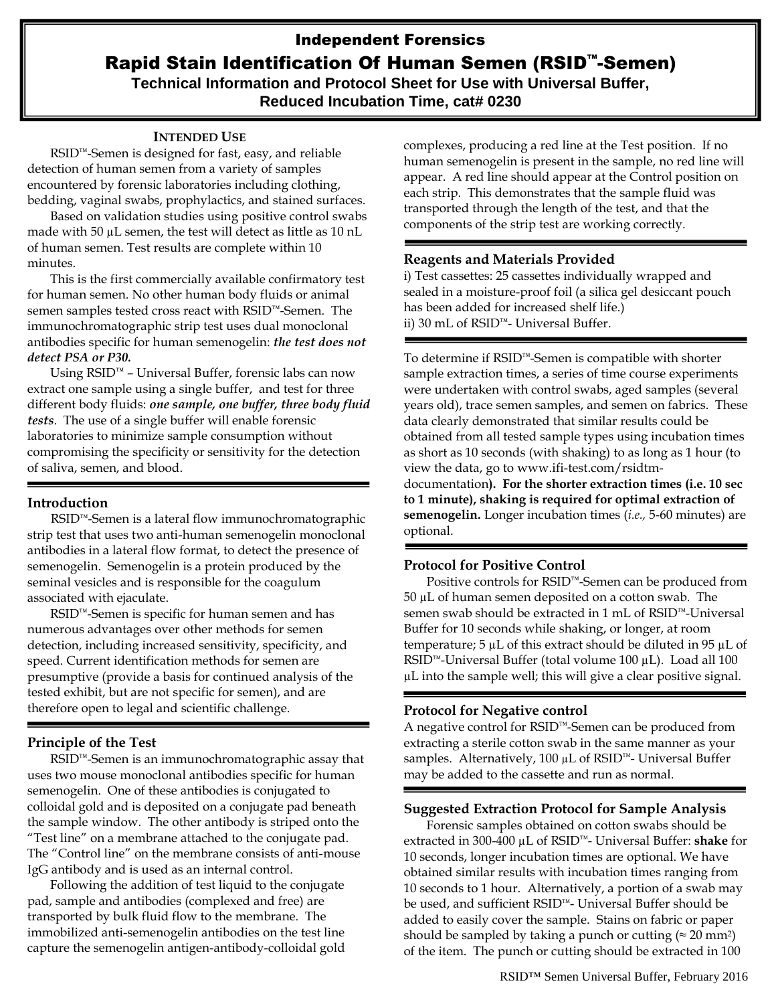# Independent Forensics Rapid Stain Identification Of Human Semen (RSID™-Semen)

**Technical Information and Protocol Sheet for Use with Universal Buffer, Reduced Incubation Time, cat# 0230**

### **INTENDED USE**

RSID™-Semen is designed for fast, easy, and reliable detection of human semen from a variety of samples encountered by forensic laboratories including clothing, bedding, vaginal swabs, prophylactics, and stained surfaces.

Based on validation studies using positive control swabs made with 50  $\mu$ L semen, the test will detect as little as 10 nL of human semen. Test results are complete within 10 minutes.

This is the first commercially available confirmatory test for human semen. No other human body fluids or animal semen samples tested cross react with RSID™-Semen. The immunochromatographic strip test uses dual monoclonal antibodies specific for human semenogelin: *the test does not detect PSA or P30.* 

Using RSID™ – Universal Buffer, forensic labs can now extract one sample using a single buffer, and test for three different body fluids: *one sample, one buffer, three body fluid tests*. The use of a single buffer will enable forensic laboratories to minimize sample consumption without compromising the specificity or sensitivity for the detection of saliva, semen, and blood.

# **Introduction**

RSID™-Semen is a lateral flow immunochromatographic strip test that uses two anti-human semenogelin monoclonal antibodies in a lateral flow format, to detect the presence of semenogelin. Semenogelin is a protein produced by the seminal vesicles and is responsible for the coagulum associated with ejaculate.

RSID™-Semen is specific for human semen and has numerous advantages over other methods for semen detection, including increased sensitivity, specificity, and speed. Current identification methods for semen are presumptive (provide a basis for continued analysis of the tested exhibit, but are not specific for semen), and are therefore open to legal and scientific challenge.

# **Principle of the Test**

RSID™-Semen is an immunochromatographic assay that uses two mouse monoclonal antibodies specific for human semenogelin. One of these antibodies is conjugated to colloidal gold and is deposited on a conjugate pad beneath the sample window. The other antibody is striped onto the "Test line" on a membrane attached to the conjugate pad. The "Control line" on the membrane consists of anti-mouse IgG antibody and is used as an internal control.

Following the addition of test liquid to the conjugate pad, sample and antibodies (complexed and free) are transported by bulk fluid flow to the membrane. The immobilized anti-semenogelin antibodies on the test line capture the semenogelin antigen-antibody-colloidal gold

complexes, producing a red line at the Test position. If no human semenogelin is present in the sample, no red line will appear. A red line should appear at the Control position on each strip. This demonstrates that the sample fluid was transported through the length of the test, and that the components of the strip test are working correctly.

#### **Reagents and Materials Provided**

i) Test cassettes: 25 cassettes individually wrapped and sealed in a moisture-proof foil (a silica gel desiccant pouch has been added for increased shelf life.) ii) 30 mL of RSID™- Universal Buffer.

To determine if RSID™-Semen is compatible with shorter sample extraction times, a series of time course experiments were undertaken with control swabs, aged samples (several years old), trace semen samples, and semen on fabrics. These data clearly demonstrated that similar results could be obtained from all tested sample types using incubation times as short as 10 seconds (with shaking) to as long as 1 hour (to view the data, go to [www.ifi-test.com/rsidtm](http://www.ifi-test.com/rsidtm-documentation)[documentation](http://www.ifi-test.com/rsidtm-documentation)**). For the shorter extraction times (i.e. 10 sec to 1 minute), shaking is required for optimal extraction of semenogelin.** Longer incubation times (*i.e.,* 5-60 minutes) are optional.

# **Protocol for Positive Control**

Positive controls for RSID™-Semen can be produced from  $50 \mu L$  of human semen deposited on a cotton swab. The semen swab should be extracted in 1 mL of RSID™-Universal Buffer for 10 seconds while shaking, or longer, at room temperature;  $5 \mu L$  of this extract should be diluted in 95  $\mu L$  of RSID™-Universal Buffer (total volume 100 µL). Load all 100 µL into the sample well; this will give a clear positive signal.

#### **Protocol for Negative control**

A negative control for RSID™-Semen can be produced from extracting a sterile cotton swab in the same manner as your samples. Alternatively, 100 µL of RSID™- Universal Buffer may be added to the cassette and run as normal.

#### **Suggested Extraction Protocol for Sample Analysis**

Forensic samples obtained on cotton swabs should be extracted in 300-400 µL of RSID™- Universal Buffer: **shake** for 10 seconds, longer incubation times are optional. We have obtained similar results with incubation times ranging from 10 seconds to 1 hour. Alternatively, a portion of a swab may be used, and sufficient RSID™- Universal Buffer should be added to easily cover the sample. Stains on fabric or paper should be sampled by taking a punch or cutting ( $\approx 20$  mm<sup>2</sup>) of the item. The punch or cutting should be extracted in 100